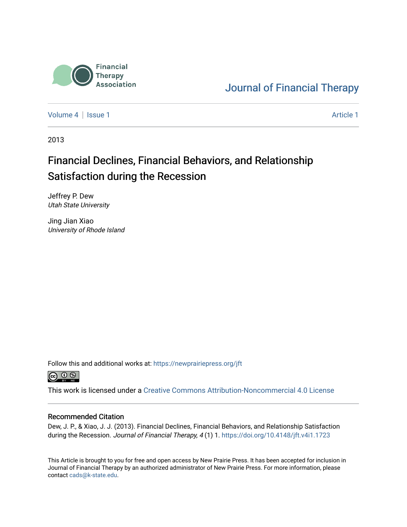

## [Journal of Financial Therapy](https://newprairiepress.org/jft)

[Volume 4](https://newprairiepress.org/jft/vol4) | [Issue 1](https://newprairiepress.org/jft/vol4/iss1) Article 1

2013

# Financial Declines, Financial Behaviors, and Relationship Satisfaction during the Recession

Jeffrey P. Dew Utah State University

Jing Jian Xiao University of Rhode Island

Follow this and additional works at: [https://newprairiepress.org/jft](https://newprairiepress.org/jft?utm_source=newprairiepress.org%2Fjft%2Fvol4%2Fiss1%2F1&utm_medium=PDF&utm_campaign=PDFCoverPages)



This work is licensed under a [Creative Commons Attribution-Noncommercial 4.0 License](https://creativecommons.org/licenses/by-nc/4.0/)

#### Recommended Citation

Dew, J. P., & Xiao, J. J. (2013). Financial Declines, Financial Behaviors, and Relationship Satisfaction during the Recession. Journal of Financial Therapy, 4(1) 1. https://doi.org/10.4148/jft.v4i1.1723

This Article is brought to you for free and open access by New Prairie Press. It has been accepted for inclusion in Journal of Financial Therapy by an authorized administrator of New Prairie Press. For more information, please contact [cads@k-state.edu](mailto:cads@k-state.edu).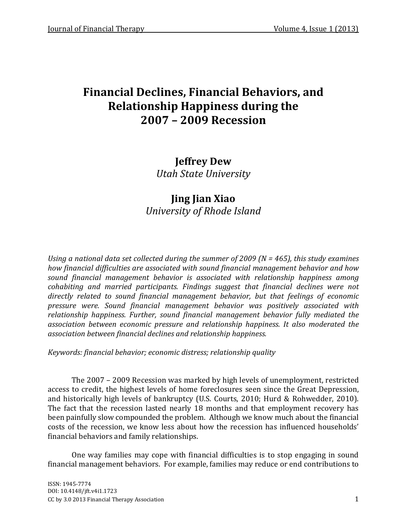**Jeffrey Dew** *Utah State University*

## **Jing Jian Xiao** *University of Rhode Island*

*Using a national data set collected during the summer of 2009 (N = 465), this study examines how financial difficulties are associated with sound financial management behavior and how sound financial management behavior is associated with relationship happiness among cohabiting and married participants. Findings suggest that financial declines were not directly related to sound financial management behavior, but that feelings of economic pressure were. Sound financial management behavior was positively associated with relationship happiness. Further, sound financial management behavior fully mediated the association between economic pressure and relationship happiness. It also moderated the association between financial declines and relationship happiness.*

*Keywords: financial behavior; economic distress; relationship quality*

The 2007 – 2009 Recession was marked by high levels of unemployment, restricted access to credit, the highest levels of home foreclosures seen since the Great Depression, and historically high levels of bankruptcy (U.S. Courts, 2010; Hurd & Rohwedder, 2010). The fact that the recession lasted nearly 18 months and that employment recovery has been painfully slow compounded the problem. Although we know much about the financial costs of the recession, we know less about how the recession has influenced households' financial behaviors and family relationships.

One way families may cope with financial difficulties is to stop engaging in sound financial management behaviors. For example, families may reduce or end contributions to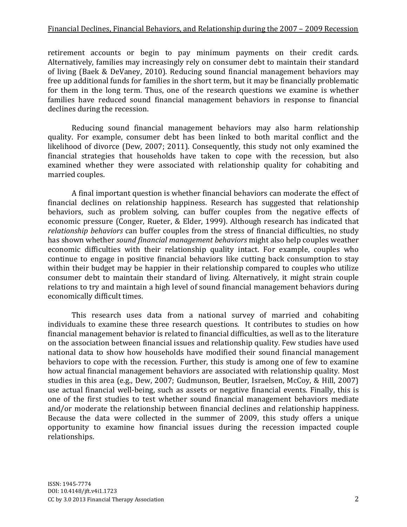retirement accounts or begin to pay minimum payments on their credit cards. Alternatively, families may increasingly rely on consumer debt to maintain their standard of living (Baek & DeVaney, 2010). Reducing sound financial management behaviors may free up additional funds for families in the short term, but it may be financially problematic for them in the long term. Thus, one of the research questions we examine is whether families have reduced sound financial management behaviors in response to financial declines during the recession.

Reducing sound financial management behaviors may also harm relationship quality. For example, consumer debt has been linked to both marital conflict and the likelihood of divorce (Dew, 2007; 2011). Consequently, this study not only examined the financial strategies that households have taken to cope with the recession, but also examined whether they were associated with relationship quality for cohabiting and married couples.

A final important question is whether financial behaviors can moderate the effect of financial declines on relationship happiness. Research has suggested that relationship behaviors, such as problem solving, can buffer couples from the negative effects of economic pressure (Conger, Rueter, & Elder, 1999). Although research has indicated that *relationship behaviors* can buffer couples from the stress of financial difficulties, no study has shown whether *sound financial management behaviors* might also help couples weather economic difficulties with their relationship quality intact. For example, couples who continue to engage in positive financial behaviors like cutting back consumption to stay within their budget may be happier in their relationship compared to couples who utilize consumer debt to maintain their standard of living. Alternatively, it might strain couple relations to try and maintain a high level of sound financial management behaviors during economically difficult times.

This research uses data from a national survey of married and cohabiting individuals to examine these three research questions. It contributes to studies on how financial management behavior is related to financial difficulties, as well as to the literature on the association between financial issues and relationship quality. Few studies have used national data to show how households have modified their sound financial management behaviors to cope with the recession. Further, this study is among one of few to examine how actual financial management behaviors are associated with relationship quality. Most studies in this area (e.g., Dew, 2007; Gudmunson, Beutler, Israelsen, McCoy, & Hill, 2007) use actual financial well-being, such as assets or negative financial events. Finally, this is one of the first studies to test whether sound financial management behaviors mediate and/or moderate the relationship between financial declines and relationship happiness. Because the data were collected in the summer of 2009, this study offers a unique opportunity to examine how financial issues during the recession impacted couple relationships.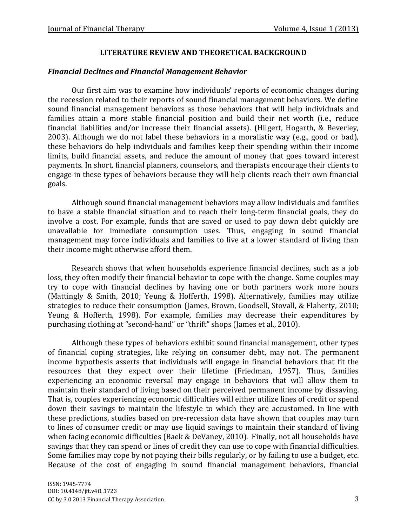## **LITERATURE REVIEW AND THEORETICAL BACKGROUND**

## *Financial Declines and Financial Management Behavior*

Our first aim was to examine how individuals' reports of economic changes during the recession related to their reports of sound financial management behaviors. We define sound financial management behaviors as those behaviors that will help individuals and families attain a more stable financial position and build their net worth (i.e., reduce financial liabilities and/or increase their financial assets). (Hilgert, Hogarth, & Beverley, 2003). Although we do not label these behaviors in a moralistic way (e.g., good or bad), these behaviors do help individuals and families keep their spending within their income limits, build financial assets, and reduce the amount of money that goes toward interest payments. In short, financial planners, counselors, and therapists encourage their clients to engage in these types of behaviors because they will help clients reach their own financial goals.

Although sound financial management behaviors may allow individuals and families to have a stable financial situation and to reach their long-term financial goals, they do involve a cost. For example, funds that are saved or used to pay down debt quickly are unavailable for immediate consumption uses. Thus, engaging in sound financial management may force individuals and families to live at a lower standard of living than their income might otherwise afford them.

Research shows that when households experience financial declines, such as a job loss, they often modify their financial behavior to cope with the change. Some couples may try to cope with financial declines by having one or both partners work more hours (Mattingly & Smith, 2010; Yeung & Hofferth, 1998). Alternatively, families may utilize strategies to reduce their consumption (James, Brown, Goodsell, Stovall, & Flaherty, 2010; Yeung & Hofferth, 1998). For example, families may decrease their expenditures by purchasing clothing at "second-hand" or "thrift" shops (James et al., 2010).

Although these types of behaviors exhibit sound financial management, other types of financial coping strategies, like relying on consumer debt, may not. The permanent income hypothesis asserts that individuals will engage in financial behaviors that fit the resources that they expect over their lifetime (Friedman, 1957). Thus, families experiencing an economic reversal may engage in behaviors that will allow them to maintain their standard of living based on their perceived permanent income by dissaving. That is, couples experiencing economic difficulties will either utilize lines of credit or spend down their savings to maintain the lifestyle to which they are accustomed. In line with these predictions, studies based on pre-recession data have shown that couples may turn to lines of consumer credit or may use liquid savings to maintain their standard of living when facing economic difficulties (Baek & DeVaney, 2010). Finally, not all households have savings that they can spend or lines of credit they can use to cope with financial difficulties. Some families may cope by not paying their bills regularly, or by failing to use a budget, etc. Because of the cost of engaging in sound financial management behaviors, financial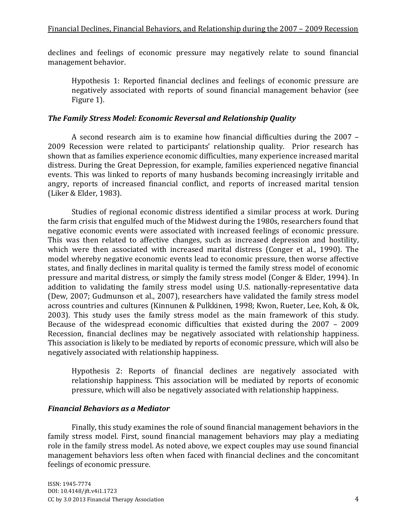declines and feelings of economic pressure may negatively relate to sound financial management behavior.

Hypothesis 1: Reported financial declines and feelings of economic pressure are negatively associated with reports of sound financial management behavior (see Figure 1).

## *The Family Stress Model: Economic Reversal and Relationship Quality*

A second research aim is to examine how financial difficulties during the 2007 – 2009 Recession were related to participants' relationship quality. Prior research has shown that as families experience economic difficulties, many experience increased marital distress. During the Great Depression, for example, families experienced negative financial events. This was linked to reports of many husbands becoming increasingly irritable and angry, reports of increased financial conflict, and reports of increased marital tension (Liker & Elder, 1983).

Studies of regional economic distress identified a similar process at work. During the farm crisis that engulfed much of the Midwest during the 1980s, researchers found that negative economic events were associated with increased feelings of economic pressure. This was then related to affective changes, such as increased depression and hostility, which were then associated with increased marital distress (Conger et al., 1990). The model whereby negative economic events lead to economic pressure, then worse affective states, and finally declines in marital quality is termed the family stress model of economic pressure and marital distress, or simply the family stress model (Conger & Elder, 1994). In addition to validating the family stress model using U.S. nationally-representative data (Dew, 2007; Gudmunson et al., 2007), researchers have validated the family stress model across countries and cultures (Kinnunen & Pulkkinen, 1998; Kwon, Rueter, Lee, Koh, & Ok, 2003). This study uses the family stress model as the main framework of this study. Because of the widespread economic difficulties that existed during the 2007 – 2009 Recession, financial declines may be negatively associated with relationship happiness. This association is likely to be mediated by reports of economic pressure, which will also be negatively associated with relationship happiness.

Hypothesis 2: Reports of financial declines are negatively associated with relationship happiness. This association will be mediated by reports of economic pressure, which will also be negatively associated with relationship happiness.

## *Financial Behaviors as a Mediator*

Finally, this study examines the role of sound financial management behaviors in the family stress model. First, sound financial management behaviors may play a mediating role in the family stress model. As noted above, we expect couples may use sound financial management behaviors less often when faced with financial declines and the concomitant feelings of economic pressure.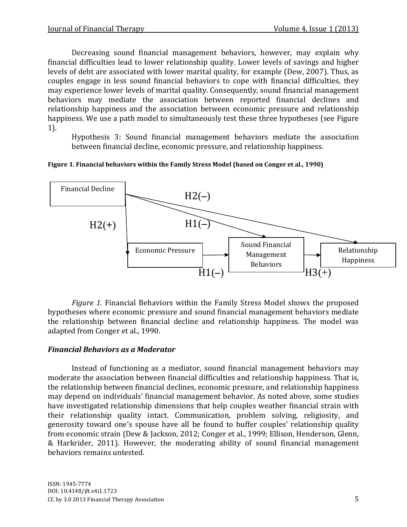Decreasing sound financial management behaviors, however, may explain why financial difficulties lead to lower relationship quality. Lower levels of savings and higher levels of debt are associated with lower marital quality, for example (Dew, 2007). Thus, as couples engage in less sound financial behaviors to cope with financial difficulties, they may experience lower levels of marital quality. Consequently, sound financial management behaviors may mediate the association between reported financial declines and relationship happiness and the association between economic pressure and relationship happiness. We use a path model to simultaneously test these three hypotheses (see Figure 1).

Hypothesis 3: Sound financial management behaviors mediate the association between financial decline, economic pressure, and relationship happiness.





*Figure 1.* Financial Behaviors within the Family Stress Model shows the proposed hypotheses where economic pressure and sound financial management behaviors mediate the relationship between financial decline and relationship happiness. The model was adapted from Conger et al., 1990.

## *Financial Behaviors as a Moderator*

Instead of functioning as a mediator, sound financial management behaviors may moderate the association between financial difficulties and relationship happiness. That is, the relationship between financial declines, economic pressure, and relationship happiness may depend on individuals' financial management behavior. As noted above, some studies have investigated relationship dimensions that help couples weather financial strain with their relationship quality intact. Communication, problem solving, religiosity, and generosity toward one's spouse have all be found to buffer couples' relationship quality from economic strain (Dew & Jackson, 2012; Conger et al., 1999; Ellison, Henderson, Glenn, & Harkrider, 2011). However, the moderating ability of sound financial management behaviors remains untested.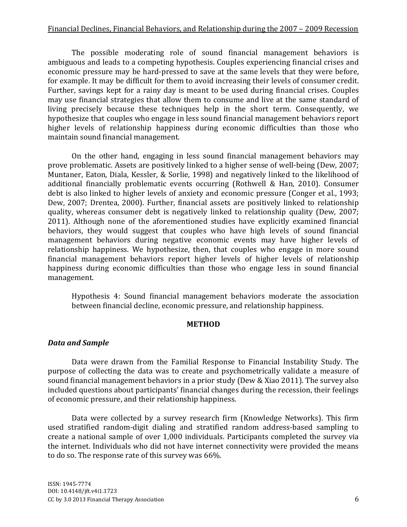The possible moderating role of sound financial management behaviors is ambiguous and leads to a competing hypothesis. Couples experiencing financial crises and economic pressure may be hard-pressed to save at the same levels that they were before, for example. It may be difficult for them to avoid increasing their levels of consumer credit. Further, savings kept for a rainy day is meant to be used during financial crises. Couples may use financial strategies that allow them to consume and live at the same standard of living precisely because these techniques help in the short term. Consequently, we hypothesize that couples who engage in less sound financial management behaviors report higher levels of relationship happiness during economic difficulties than those who maintain sound financial management.

On the other hand, engaging in less sound financial management behaviors may prove problematic. Assets are positively linked to a higher sense of well-being (Dew, 2007; Muntaner, Eaton, Diala, Kessler, & Sorlie, 1998) and negatively linked to the likelihood of additional financially problematic events occurring (Rothwell & Han, 2010). Consumer debt is also linked to higher levels of anxiety and economic pressure (Conger et al., 1993; Dew, 2007; Drentea, 2000). Further, financial assets are positively linked to relationship quality, whereas consumer debt is negatively linked to relationship quality (Dew, 2007; 2011). Although none of the aforementioned studies have explicitly examined financial behaviors, they would suggest that couples who have high levels of sound financial management behaviors during negative economic events may have higher levels of relationship happiness. We hypothesize, then, that couples who engage in more sound financial management behaviors report higher levels of higher levels of relationship happiness during economic difficulties than those who engage less in sound financial management.

Hypothesis 4: Sound financial management behaviors moderate the association between financial decline, economic pressure, and relationship happiness.

#### **METHOD**

#### *Data and Sample*

Data were drawn from the Familial Response to Financial Instability Study. The purpose of collecting the data was to create and psychometrically validate a measure of sound financial management behaviors in a prior study (Dew & Xiao 2011). The survey also included questions about participants' financial changes during the recession, their feelings of economic pressure, and their relationship happiness.

Data were collected by a survey research firm (Knowledge Networks). This firm used stratified random-digit dialing and stratified random address-based sampling to create a national sample of over 1,000 individuals. Participants completed the survey via the internet. Individuals who did not have internet connectivity were provided the means to do so. The response rate of this survey was 66%.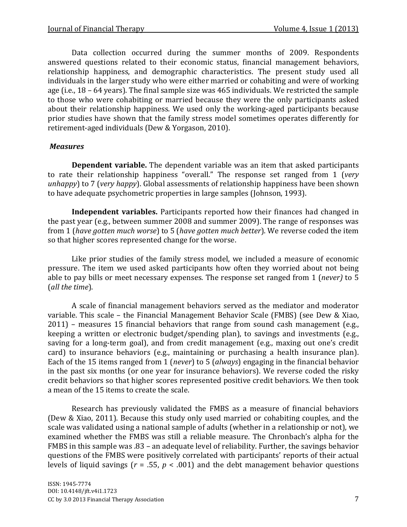Data collection occurred during the summer months of 2009. Respondents answered questions related to their economic status, financial management behaviors, relationship happiness, and demographic characteristics. The present study used all individuals in the larger study who were either married or cohabiting and were of working age (i.e., 18 – 64 years). The final sample size was 465 individuals. We restricted the sample to those who were cohabiting or married because they were the only participants asked about their relationship happiness. We used only the working-aged participants because prior studies have shown that the family stress model sometimes operates differently for retirement-aged individuals (Dew & Yorgason, 2010).

## *Measures*

**Dependent variable.** The dependent variable was an item that asked participants to rate their relationship happiness "overall." The response set ranged from 1 (*very unhappy*) to 7 (*very happy*). Global assessments of relationship happiness have been shown to have adequate psychometric properties in large samples (Johnson, 1993).

**Independent variables.** Participants reported how their finances had changed in the past year (e.g., between summer 2008 and summer 2009). The range of responses was from 1 (*have gotten much worse*) to 5 (*have gotten much better*). We reverse coded the item so that higher scores represented change for the worse.

Like prior studies of the family stress model, we included a measure of economic pressure. The item we used asked participants how often they worried about not being able to pay bills or meet necessary expenses. The response set ranged from 1 (*never)* to 5 (*all the time*).

A scale of financial management behaviors served as the mediator and moderator variable. This scale – the Financial Management Behavior Scale (FMBS) (see Dew & Xiao, 2011) – measures 15 financial behaviors that range from sound cash management (e.g., keeping a written or electronic budget/spending plan), to savings and investments (e.g., saving for a long-term goal), and from credit management (e.g., maxing out one's credit card) to insurance behaviors (e.g., maintaining or purchasing a health insurance plan). Each of the 15 items ranged from 1 (*never*) to 5 (*always*) engaging in the financial behavior in the past six months (or one year for insurance behaviors). We reverse coded the risky credit behaviors so that higher scores represented positive credit behaviors. We then took a mean of the 15 items to create the scale.

Research has previously validated the FMBS as a measure of financial behaviors (Dew & Xiao, 2011). Because this study only used married or cohabiting couples, and the scale was validated using a national sample of adults (whether in a relationship or not), we examined whether the FMBS was still a reliable measure. The Chronbach's alpha for the FMBS in this sample was .83 – an adequate level of reliability. Further, the savings behavior questions of the FMBS were positively correlated with participants' reports of their actual levels of liquid savings (*r* = .55, *p* < .001) and the debt management behavior questions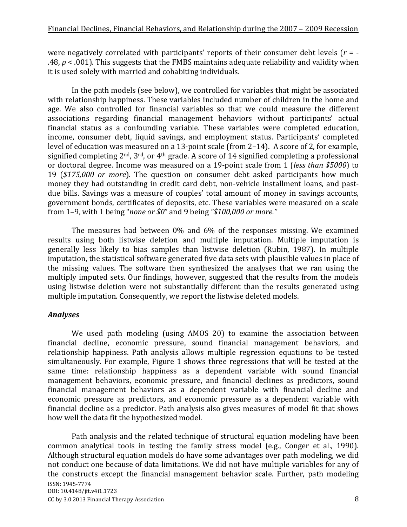were negatively correlated with participants' reports of their consumer debt levels (*r* = - .48, *p* < .001). This suggests that the FMBS maintains adequate reliability and validity when it is used solely with married and cohabiting individuals.

In the path models (see below), we controlled for variables that might be associated with relationship happiness. These variables included number of children in the home and age. We also controlled for financial variables so that we could measure the different associations regarding financial management behaviors without participants' actual financial status as a confounding variable. These variables were completed education, income, consumer debt, liquid savings, and employment status. Participants' completed level of education was measured on a 13-point scale (from 2–14). A score of 2, for example, signified completing 2<sup>nd</sup>, 3<sup>rd</sup>, or 4<sup>th</sup> grade. A score of 14 signified completing a professional or doctoral degree. Income was measured on a 19-point scale from 1 (*less than \$5000*) to 19 (*\$175,000 or more*). The question on consumer debt asked participants how much money they had outstanding in credit card debt, non-vehicle installment loans, and pastdue bills. Savings was a measure of couples' total amount of money in savings accounts, government bonds, certificates of deposits, etc. These variables were measured on a scale from 1–9, with 1 being "*none or \$0*" and 9 being *"\$100,000 or more."*

The measures had between 0% and 6% of the responses missing. We examined results using both listwise deletion and multiple imputation. Multiple imputation is generally less likely to bias samples than listwise deletion (Rubin, 1987). In multiple imputation, the statistical software generated five data sets with plausible values in place of the missing values. The software then synthesized the analyses that we ran using the multiply imputed sets. Our findings, however, suggested that the results from the models using listwise deletion were not substantially different than the results generated using multiple imputation. Consequently, we report the listwise deleted models.

## *Analyses*

We used path modeling (using AMOS 20) to examine the association between financial decline, economic pressure, sound financial management behaviors, and relationship happiness. Path analysis allows multiple regression equations to be tested simultaneously. For example, Figure 1 shows three regressions that will be tested at the same time: relationship happiness as a dependent variable with sound financial management behaviors, economic pressure, and financial declines as predictors, sound financial management behaviors as a dependent variable with financial decline and economic pressure as predictors, and economic pressure as a dependent variable with financial decline as a predictor. Path analysis also gives measures of model fit that shows how well the data fit the hypothesized model.

ISSN: 1945-7774 DOI: 10.4148/jft.v4i1.1723 CC by 3.0 2013 Financial Therapy Association 8 Path analysis and the related technique of structural equation modeling have been common analytical tools in testing the family stress model (e.g., Conger et al., 1990). Although structural equation models do have some advantages over path modeling, we did not conduct one because of data limitations. We did not have multiple variables for any of the constructs except the financial management behavior scale. Further, path modeling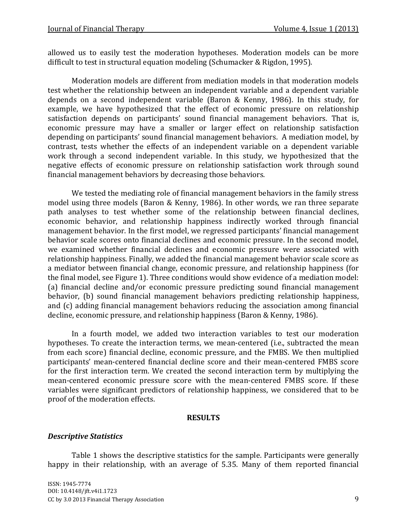allowed us to easily test the moderation hypotheses. Moderation models can be more difficult to test in structural equation modeling (Schumacker & Rigdon, 1995).

Moderation models are different from mediation models in that moderation models test whether the relationship between an independent variable and a dependent variable depends on a second independent variable (Baron & Kenny, 1986). In this study, for example, we have hypothesized that the effect of economic pressure on relationship satisfaction depends on participants' sound financial management behaviors. That is, economic pressure may have a smaller or larger effect on relationship satisfaction depending on participants' sound financial management behaviors. A mediation model, by contrast, tests whether the effects of an independent variable on a dependent variable work through a second independent variable. In this study, we hypothesized that the negative effects of economic pressure on relationship satisfaction work through sound financial management behaviors by decreasing those behaviors.

We tested the mediating role of financial management behaviors in the family stress model using three models (Baron & Kenny, 1986). In other words, we ran three separate path analyses to test whether some of the relationship between financial declines, economic behavior, and relationship happiness indirectly worked through financial management behavior. In the first model, we regressed participants' financial management behavior scale scores onto financial declines and economic pressure. In the second model, we examined whether financial declines and economic pressure were associated with relationship happiness. Finally, we added the financial management behavior scale score as a mediator between financial change, economic pressure, and relationship happiness (for the final model, see Figure 1). Three conditions would show evidence of a mediation model: (a) financial decline and/or economic pressure predicting sound financial management behavior, (b) sound financial management behaviors predicting relationship happiness, and (c) adding financial management behaviors reducing the association among financial decline, economic pressure, and relationship happiness (Baron & Kenny, 1986).

In a fourth model, we added two interaction variables to test our moderation hypotheses. To create the interaction terms, we mean-centered (i.e., subtracted the mean from each score) financial decline, economic pressure, and the FMBS. We then multiplied participants' mean-centered financial decline score and their mean-centered FMBS score for the first interaction term. We created the second interaction term by multiplying the mean-centered economic pressure score with the mean-centered FMBS score. If these variables were significant predictors of relationship happiness, we considered that to be proof of the moderation effects.

## **RESULTS**

## *Descriptive Statistics*

Table 1 shows the descriptive statistics for the sample. Participants were generally happy in their relationship, with an average of 5.35. Many of them reported financial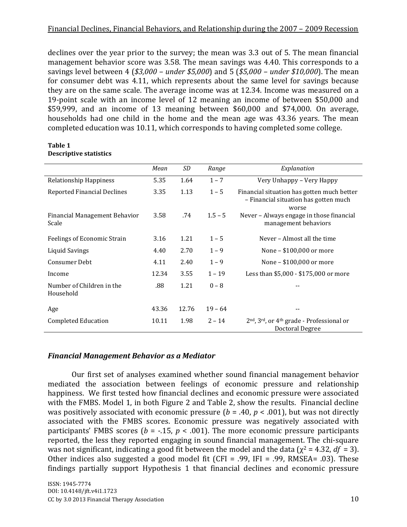declines over the year prior to the survey; the mean was 3.3 out of 5. The mean financial management behavior score was 3.58. The mean savings was 4.40. This corresponds to a savings level between 4 (*\$3,000 – under \$5,000*) and 5 (*\$5,000 – under \$10,000*). The mean for consumer debt was 4.11, which represents about the same level for savings because they are on the same scale. The average income was at 12.34. Income was measured on a 19-point scale with an income level of 12 meaning an income of between \$50,000 and \$59,999, and an income of 13 meaning between \$60,000 and \$74,000. On average, households had one child in the home and the mean age was 43.36 years. The mean completed education was 10.11, which corresponds to having completed some college.

|                                        | Mean  | SD    | Range     | Explanation                                                                                       |
|----------------------------------------|-------|-------|-----------|---------------------------------------------------------------------------------------------------|
| Relationship Happiness                 | 5.35  | 1.64  | $1 - 7$   | Very Unhappy – Very Happy                                                                         |
| Reported Financial Declines            | 3.35  | 1.13  | $1 - 5$   | Financial situation has gotten much better<br>- Financial situation has gotten much<br>worse      |
| Financial Management Behavior<br>Scale | 3.58  | .74   | $1.5 - 5$ | Never – Always engage in those financial<br>management behaviors                                  |
| Feelings of Economic Strain            | 3.16  | 1.21  | $1 - 5$   | Never - Almost all the time                                                                       |
| Liquid Savings                         | 4.40  | 2.70  | $1 - 9$   | None – \$100,000 or more                                                                          |
| Consumer Debt                          | 4.11  | 2.40  | $1 - 9$   | None - \$100,000 or more                                                                          |
| Income                                 | 12.34 | 3.55  | $1 - 19$  | Less than \$5,000 - \$175,000 or more                                                             |
| Number of Children in the<br>Household | .88   | 1.21  | $0 - 8$   | --                                                                                                |
| Age                                    | 43.36 | 12.76 | $19 - 64$ | --                                                                                                |
| <b>Completed Education</b>             | 10.11 | 1.98  | $2 - 14$  | 2 <sup>nd</sup> , 3 <sup>rd</sup> , or 4 <sup>th</sup> grade - Professional or<br>Doctoral Degree |

#### **Table 1 Descriptive statistics**

## *Financial Management Behavior as a Mediator*

Our first set of analyses examined whether sound financial management behavior mediated the association between feelings of economic pressure and relationship happiness. We first tested how financial declines and economic pressure were associated with the FMBS. Model 1, in both Figure 2 and Table 2, show the results. Financial decline was positively associated with economic pressure (*b* = .40, *p* < .001), but was not directly associated with the FMBS scores. Economic pressure was negatively associated with participants' FMBS scores ( $b = -0.15$ ,  $p < 0.001$ ). The more economic pressure participants reported, the less they reported engaging in sound financial management. The chi-square was not significant, indicating a good fit between the model and the data ( $\chi^2$  = 4.32, *df* = 3). Other indices also suggested a good model fit (CFI = .99, IFI = .99, RMSEA= .03). These findings partially support Hypothesis 1 that financial declines and economic pressure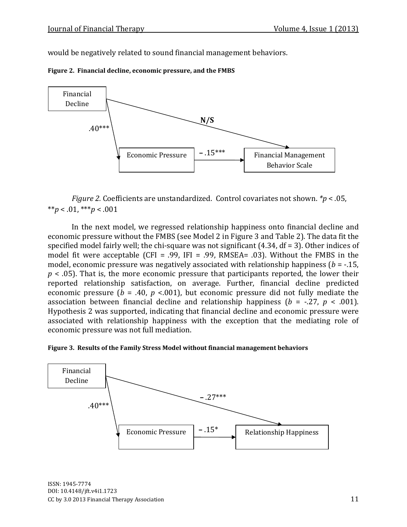would be negatively related to sound financial management behaviors.





*Figure 2.* Coefficients are unstandardized. Control covariates not shown. *\*p* < .05,  $**p < .01, **p < .001$ 

In the next model, we regressed relationship happiness onto financial decline and economic pressure without the FMBS (see Model 2 in Figure 3 and Table 2). The data fit the specified model fairly well; the chi-square was not significant (4.34, df = 3). Other indices of model fit were acceptable (CFI = .99, IFI = .99, RMSEA= .03). Without the FMBS in the model, economic pressure was negatively associated with relationship happiness (*b* = -.15, *p* < .05). That is, the more economic pressure that participants reported, the lower their reported relationship satisfaction, on average. Further, financial decline predicted economic pressure ( $b = .40$ ,  $p < .001$ ), but economic pressure did not fully mediate the association between financial decline and relationship happiness ( $b = -0.27$ ,  $p < 0.001$ ). Hypothesis 2 was supported, indicating that financial decline and economic pressure were associated with relationship happiness with the exception that the mediating role of economic pressure was not full mediation.



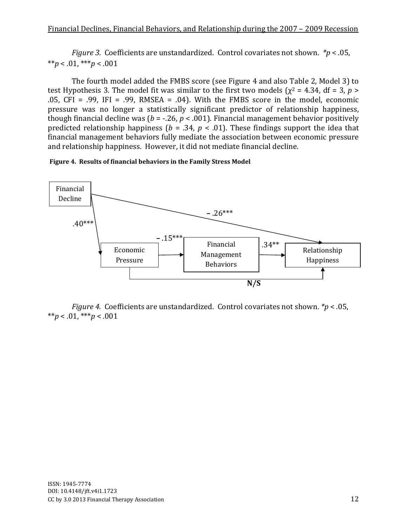*Figure 3.*Coefficients are unstandardized. Control covariates not shown. *\*p* < .05, \*\**p* < .01, \*\*\**p* < .001

The fourth model added the FMBS score (see Figure 4 and also Table 2, Model 3) to test Hypothesis 3. The model fit was similar to the first two models ( $\chi^2$  = 4.34, df = 3, *p* > .05,  $CFI = .99$ ,  $IFI = .99$ , RMSEA = .04). With the FMBS score in the model, economic pressure was no longer a statistically significant predictor of relationship happiness, though financial decline was ( $b = -26$ ,  $p < .001$ ). Financial management behavior positively predicted relationship happiness ( $b = .34$ ,  $p < .01$ ). These findings support the idea that financial management behaviors fully mediate the association between economic pressure and relationship happiness. However, it did not mediate financial decline.





*Figure 4.*Coefficients are unstandardized. Control covariates not shown. *\*p* < .05, \*\**p* < .01, \*\*\**p* < .001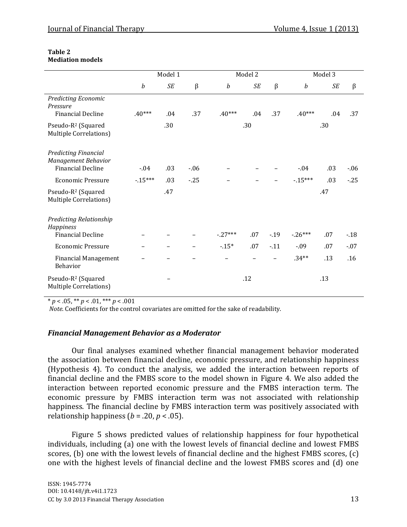| Table 2                 |  |
|-------------------------|--|
| <b>Mediation models</b> |  |

|                                                                                | Model 1          |           |         | Model 2          |           |         | Model 3          |           |         |
|--------------------------------------------------------------------------------|------------------|-----------|---------|------------------|-----------|---------|------------------|-----------|---------|
|                                                                                | $\boldsymbol{b}$ | $\cal SE$ | $\beta$ | $\boldsymbol{b}$ | <b>SE</b> | $\beta$ | $\boldsymbol{b}$ | <b>SE</b> | $\beta$ |
| Predicting Economic<br>Pressure<br><b>Financial Decline</b>                    | $.40***$         | .04       | .37     | $.40***$         | .04       | .37     | $.40***$         | .04       | .37     |
| Pseudo-R <sup>2</sup> (Squared<br>Multiple Correlations)                       | .30              |           |         | .30              |           |         | .30              |           |         |
| <b>Predicting Financial</b><br>Management Behavior<br><b>Financial Decline</b> | $-04$            | .03       | $-06$   |                  |           |         | $-0.04$          | .03       | $-06$   |
| <b>Economic Pressure</b>                                                       | $-15***$         | .03       | $-25$   |                  |           |         | $-15***$         | .03       | $-25$   |
| Pseudo-R <sup>2</sup> (Squared<br>Multiple Correlations)                       |                  | .47       |         |                  |           |         |                  | .47       |         |
| Predicting Relationship<br>Happiness<br><b>Financial Decline</b>               |                  |           |         | $-27***$         | .07       | $-19$   | $-26***$         | .07       | $-18$   |
| <b>Economic Pressure</b>                                                       |                  |           |         | $-15*$           | .07       | $-11$   | $-0.09$          | .07       | $-07$   |
| <b>Financial Management</b><br>Behavior                                        |                  |           |         |                  |           |         | $.34**$          | .13       | .16     |
| Pseudo-R <sup>2</sup> (Squared<br>Multiple Correlations)                       |                  |           |         |                  | .12       |         |                  | .13       |         |

 $* p < .05, ** p < .01, ** p < .001$ 

*Note*. Coefficients for the control covariates are omitted for the sake of readability.

## *Financial Management Behavior as a Moderator*

Our final analyses examined whether financial management behavior moderated the association between financial decline, economic pressure, and relationship happiness (Hypothesis 4). To conduct the analysis, we added the interaction between reports of financial decline and the FMBS score to the model shown in Figure 4. We also added the interaction between reported economic pressure and the FMBS interaction term. The economic pressure by FMBS interaction term was not associated with relationship happiness. The financial decline by FMBS interaction term was positively associated with relationship happiness ( $b = .20$ ,  $p < .05$ ).

Figure 5 shows predicted values of relationship happiness for four hypothetical individuals, including (a) one with the lowest levels of financial decline and lowest FMBS scores, (b) one with the lowest levels of financial decline and the highest FMBS scores, (c) one with the highest levels of financial decline and the lowest FMBS scores and (d) one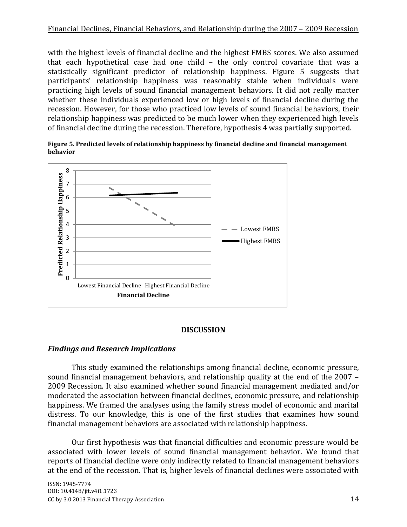with the highest levels of financial decline and the highest FMBS scores. We also assumed that each hypothetical case had one child – the only control covariate that was a statistically significant predictor of relationship happiness. Figure 5 suggests that participants' relationship happiness was reasonably stable when individuals were practicing high levels of sound financial management behaviors. It did not really matter whether these individuals experienced low or high levels of financial decline during the recession. However, for those who practiced low levels of sound financial behaviors, their relationship happiness was predicted to be much lower when they experienced high levels of financial decline during the recession. Therefore, hypothesis 4 was partially supported.

**Figure 5***.* **Predicted levels of relationship happiness by financial decline and financial management behavior**



## **DISCUSSION**

## *Findings and Research Implications*

This study examined the relationships among financial decline, economic pressure, sound financial management behaviors, and relationship quality at the end of the 2007 – 2009 Recession. It also examined whether sound financial management mediated and/or moderated the association between financial declines, economic pressure, and relationship happiness. We framed the analyses using the family stress model of economic and marital distress. To our knowledge, this is one of the first studies that examines how sound financial management behaviors are associated with relationship happiness.

Our first hypothesis was that financial difficulties and economic pressure would be associated with lower levels of sound financial management behavior. We found that reports of financial decline were only indirectly related to financial management behaviors at the end of the recession. That is, higher levels of financial declines were associated with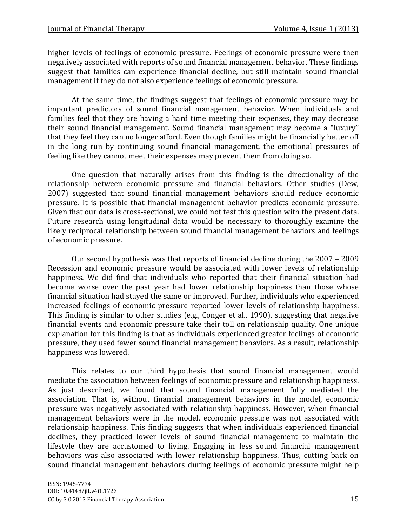higher levels of feelings of economic pressure. Feelings of economic pressure were then negatively associated with reports of sound financial management behavior. These findings suggest that families can experience financial decline, but still maintain sound financial management if they do not also experience feelings of economic pressure.

At the same time, the findings suggest that feelings of economic pressure may be important predictors of sound financial management behavior. When individuals and families feel that they are having a hard time meeting their expenses, they may decrease their sound financial management. Sound financial management may become a "luxury" that they feel they can no longer afford. Even though families might be financially better off in the long run by continuing sound financial management, the emotional pressures of feeling like they cannot meet their expenses may prevent them from doing so.

One question that naturally arises from this finding is the directionality of the relationship between economic pressure and financial behaviors. Other studies (Dew, 2007) suggested that sound financial management behaviors should reduce economic pressure. It is possible that financial management behavior predicts economic pressure. Given that our data is cross-sectional, we could not test this question with the present data. Future research using longitudinal data would be necessary to thoroughly examine the likely reciprocal relationship between sound financial management behaviors and feelings of economic pressure.

Our second hypothesis was that reports of financial decline during the 2007 – 2009 Recession and economic pressure would be associated with lower levels of relationship happiness. We did find that individuals who reported that their financial situation had become worse over the past year had lower relationship happiness than those whose financial situation had stayed the same or improved. Further, individuals who experienced increased feelings of economic pressure reported lower levels of relationship happiness. This finding is similar to other studies (e.g., Conger et al., 1990), suggesting that negative financial events and economic pressure take their toll on relationship quality. One unique explanation for this finding is that as individuals experienced greater feelings of economic pressure, they used fewer sound financial management behaviors. As a result, relationship happiness was lowered.

This relates to our third hypothesis that sound financial management would mediate the association between feelings of economic pressure and relationship happiness. As just described, we found that sound financial management fully mediated the association. That is, without financial management behaviors in the model, economic pressure was negatively associated with relationship happiness. However, when financial management behaviors were in the model, economic pressure was not associated with relationship happiness. This finding suggests that when individuals experienced financial declines, they practiced lower levels of sound financial management to maintain the lifestyle they are accustomed to living. Engaging in less sound financial management behaviors was also associated with lower relationship happiness. Thus, cutting back on sound financial management behaviors during feelings of economic pressure might help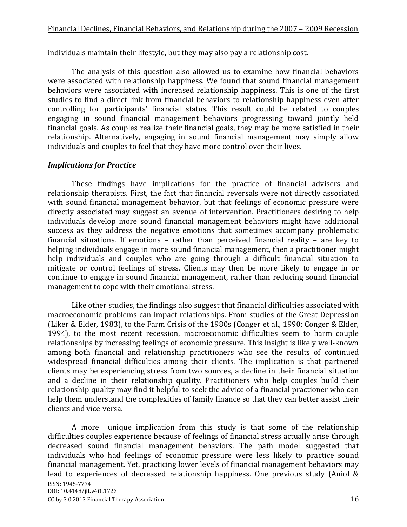individuals maintain their lifestyle, but they may also pay a relationship cost.

The analysis of this question also allowed us to examine how financial behaviors were associated with relationship happiness. We found that sound financial management behaviors were associated with increased relationship happiness. This is one of the first studies to find a direct link from financial behaviors to relationship happiness even after controlling for participants' financial status. This result could be related to couples engaging in sound financial management behaviors progressing toward jointly held financial goals. As couples realize their financial goals, they may be more satisfied in their relationship. Alternatively, engaging in sound financial management may simply allow individuals and couples to feel that they have more control over their lives.

## *Implications for Practice*

These findings have implications for the practice of financial advisers and relationship therapists. First, the fact that financial reversals were not directly associated with sound financial management behavior, but that feelings of economic pressure were directly associated may suggest an avenue of intervention. Practitioners desiring to help individuals develop more sound financial management behaviors might have additional success as they address the negative emotions that sometimes accompany problematic financial situations. If emotions – rather than perceived financial reality – are key to helping individuals engage in more sound financial management, then a practitioner might help individuals and couples who are going through a difficult financial situation to mitigate or control feelings of stress. Clients may then be more likely to engage in or continue to engage in sound financial management, rather than reducing sound financial management to cope with their emotional stress.

Like other studies, the findings also suggest that financial difficulties associated with macroeconomic problems can impact relationships. From studies of the Great Depression (Liker & Elder, 1983), to the Farm Crisis of the 1980s (Conger et al., 1990; Conger & Elder, 1994), to the most recent recession, macroeconomic difficulties seem to harm couple relationships by increasing feelings of economic pressure. This insight is likely well-known among both financial and relationship practitioners who see the results of continued widespread financial difficulties among their clients. The implication is that partnered clients may be experiencing stress from two sources, a decline in their financial situation and a decline in their relationship quality. Practitioners who help couples build their relationship quality may find it helpful to seek the advice of a financial practioner who can help them understand the complexities of family finance so that they can better assist their clients and vice-versa.

ISSN: 1945-7774 DOI: 10.4148/jft.v4i1.1723 CC by 3.0 2013 Financial Therapy Association 16 A more unique implication from this study is that some of the relationship difficulties couples experience because of feelings of financial stress actually arise through decreased sound financial management behaviors. The path model suggested that individuals who had feelings of economic pressure were less likely to practice sound financial management. Yet, practicing lower levels of financial management behaviors may lead to experiences of decreased relationship happiness. One previous study (Aniol &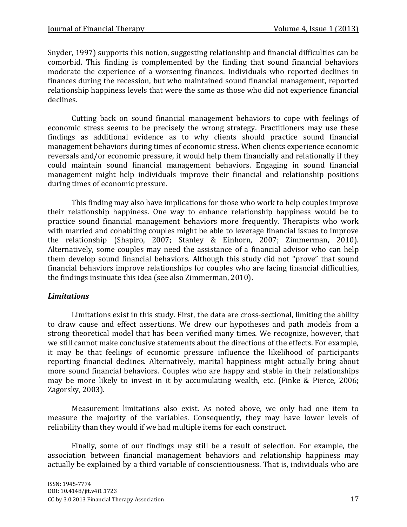Snyder, 1997) supports this notion, suggesting relationship and financial difficulties can be comorbid. This finding is complemented by the finding that sound financial behaviors moderate the experience of a worsening finances. Individuals who reported declines in finances during the recession, but who maintained sound financial management, reported relationship happiness levels that were the same as those who did not experience financial declines.

Cutting back on sound financial management behaviors to cope with feelings of economic stress seems to be precisely the wrong strategy. Practitioners may use these findings as additional evidence as to why clients should practice sound financial management behaviors during times of economic stress. When clients experience economic reversals and/or economic pressure, it would help them financially and relationally if they could maintain sound financial management behaviors. Engaging in sound financial management might help individuals improve their financial and relationship positions during times of economic pressure.

This finding may also have implications for those who work to help couples improve their relationship happiness. One way to enhance relationship happiness would be to practice sound financial management behaviors more frequently. Therapists who work with married and cohabiting couples might be able to leverage financial issues to improve the relationship (Shapiro, 2007; Stanley & Einhorn, 2007; Zimmerman, 2010). Alternatively, some couples may need the assistance of a financial advisor who can help them develop sound financial behaviors. Although this study did not "prove" that sound financial behaviors improve relationships for couples who are facing financial difficulties, the findings insinuate this idea (see also Zimmerman, 2010).

## *Limitations*

Limitations exist in this study. First, the data are cross-sectional, limiting the ability to draw cause and effect assertions. We drew our hypotheses and path models from a strong theoretical model that has been verified many times. We recognize, however, that we still cannot make conclusive statements about the directions of the effects. For example, it may be that feelings of economic pressure influence the likelihood of participants reporting financial declines. Alternatively, marital happiness might actually bring about more sound financial behaviors. Couples who are happy and stable in their relationships may be more likely to invest in it by accumulating wealth, etc. (Finke & Pierce, 2006; Zagorsky, 2003).

Measurement limitations also exist. As noted above, we only had one item to measure the majority of the variables. Consequently, they may have lower levels of reliability than they would if we had multiple items for each construct.

Finally, some of our findings may still be a result of selection. For example, the association between financial management behaviors and relationship happiness may actually be explained by a third variable of conscientiousness. That is, individuals who are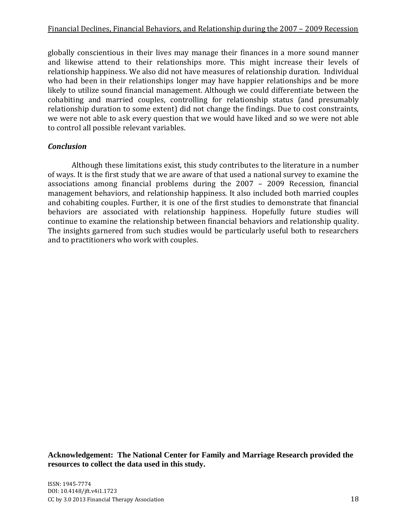globally conscientious in their lives may manage their finances in a more sound manner and likewise attend to their relationships more. This might increase their levels of relationship happiness. We also did not have measures of relationship duration. Individual who had been in their relationships longer may have happier relationships and be more likely to utilize sound financial management. Although we could differentiate between the cohabiting and married couples, controlling for relationship status (and presumably relationship duration to some extent) did not change the findings. Due to cost constraints, we were not able to ask every question that we would have liked and so we were not able to control all possible relevant variables.

### *Conclusion*

Although these limitations exist, this study contributes to the literature in a number of ways. It is the first study that we are aware of that used a national survey to examine the associations among financial problems during the 2007 – 2009 Recession, financial management behaviors, and relationship happiness. It also included both married couples and cohabiting couples. Further, it is one of the first studies to demonstrate that financial behaviors are associated with relationship happiness. Hopefully future studies will continue to examine the relationship between financial behaviors and relationship quality. The insights garnered from such studies would be particularly useful both to researchers and to practitioners who work with couples.

**Acknowledgement: The National Center for Family and Marriage Research provided the resources to collect the data used in this study.**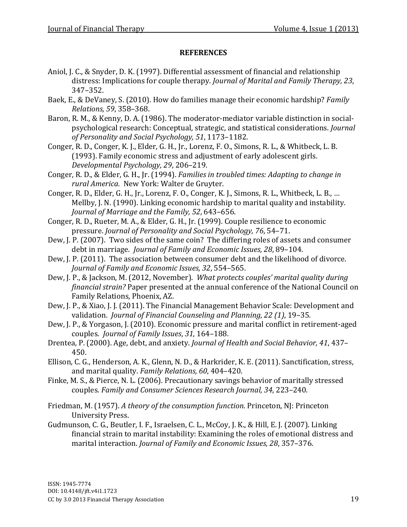## **REFERENCES**

- Aniol, J. C., & Snyder, D. K. (1997). Differential assessment of financial and relationship distress: Implications for couple therapy. *Journal of Marital and Family Therapy, 23*, 347–352.
- Baek, E., & DeVaney, S. (2010). How do families manage their economic hardship? *Family Relations, 59*, 358–368.
- Baron, R. M., & Kenny, D. A. (1986). The moderator-mediator variable distinction in socialpsychological research: Conceptual, strategic, and statistical considerations. *Journal of Personality and Social Psychology, 51*, 1173–1182.
- Conger, R. D., Conger, K. J., Elder, G. H., Jr., Lorenz, F. O., Simons, R. L., & Whitbeck, L. B. (1993). Family economic stress and adjustment of early adolescent girls. *Developmental Psychology, 29*, 206–219.
- Conger, R. D., & Elder, G. H., Jr. (1994). *Families in troubled times: Adapting to change in rural America.* New York: Walter de Gruyter.
- Conger, R. D., Elder, G. H., Jr., Lorenz, F. O., Conger, K. J., Simons, R. L., Whitbeck, L. B., … Mellby, J. N. (1990). Linking economic hardship to marital quality and instability. *Journal of Marriage and the Family, 52*, 643–656.
- Conger, R. D., Rueter, M. A., & Elder, G. H., Jr. (1999). Couple resilience to economic pressure. *Journal of Personality and Social Psychology, 76*, 54–71.
- Dew, J. P. (2007). Two sides of the same coin? The differing roles of assets and consumer debt in marriage. *Journal of Family and Economic Issues, 28*, 89–104.
- Dew, J. P. (2011). The association between consumer debt and the likelihood of divorce. *Journal of Family and Economic Issues, 32*, 554–565.
- Dew, J. P., & Jackson, M. (2012, November). *What protects couples' marital quality during financial strain?* Paper presented at the annual conference of the National Council on Family Relations, Phoenix, AZ.
- Dew, J. P., & Xiao, J. J. (2011). The Financial Management Behavior Scale: Development and validation. *Journal of Financial Counseling and Planning*, *22 (1)*, 19–35.
- Dew, J. P., & Yorgason, J. (2010). Economic pressure and marital conflict in retirement-aged couples. *Journal of Family Issues*, *31*, 164–188.
- Drentea, P. (2000). Age, debt, and anxiety. *Journal of Health and Social Behavior, 41*, 437– 450.
- Ellison, C. G., Henderson, A. K., Glenn, N. D., & Harkrider, K. E. (2011). Sanctification, stress, and marital quality. *Family Relations, 60*, 404–420.
- Finke, M. S., & Pierce, N. L. (2006). Precautionary savings behavior of maritally stressed couples. *Family and Consumer Sciences Research Journal, 34*, 223–240.
- Friedman, M. (1957). *A theory of the consumption function*. Princeton, NJ: Princeton University Press.
- Gudmunson, C. G., Beutler, I. F., Israelsen, C. L., McCoy, J. K., & Hill, E. J. (2007). Linking financial strain to marital instability: Examining the roles of emotional distress and marital interaction. *Journal of Family and Economic Issues, 28*, 357–376.